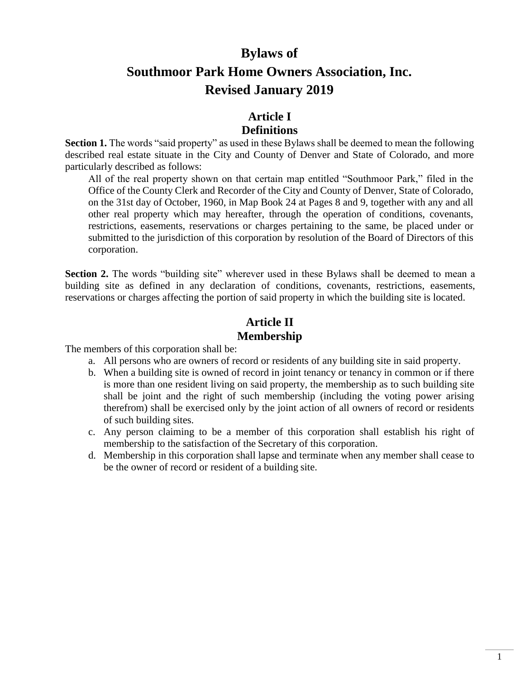# **Bylaws of Southmoor Park Home Owners Association, Inc. Revised January 2019**

### **Article I**

#### **Definitions**

**Section 1.** The words "said property" as used in these Bylaws shall be deemed to mean the following described real estate situate in the City and County of Denver and State of Colorado, and more particularly described as follows:

All of the real property shown on that certain map entitled "Southmoor Park," filed in the Office of the County Clerk and Recorder of the City and County of Denver, State of Colorado, on the 31st day of October, 1960, in Map Book 24 at Pages 8 and 9, together with any and all other real property which may hereafter, through the operation of conditions, covenants, restrictions, easements, reservations or charges pertaining to the same, be placed under or submitted to the jurisdiction of this corporation by resolution of the Board of Directors of this corporation.

**Section 2.** The words "building site" wherever used in these Bylaws shall be deemed to mean a building site as defined in any declaration of conditions, covenants, restrictions, easements, reservations or charges affecting the portion of said property in which the building site is located.

# **Article II Membership**

The members of this corporation shall be:

- a. All persons who are owners of record or residents of any building site in said property.
- b. When a building site is owned of record in joint tenancy or tenancy in common or if there is more than one resident living on said property, the membership as to such building site shall be joint and the right of such membership (including the voting power arising therefrom) shall be exercised only by the joint action of all owners of record or residents of such building sites.
- c. Any person claiming to be a member of this corporation shall establish his right of membership to the satisfaction of the Secretary of this corporation.
- d. Membership in this corporation shall lapse and terminate when any member shall cease to be the owner of record or resident of a building site.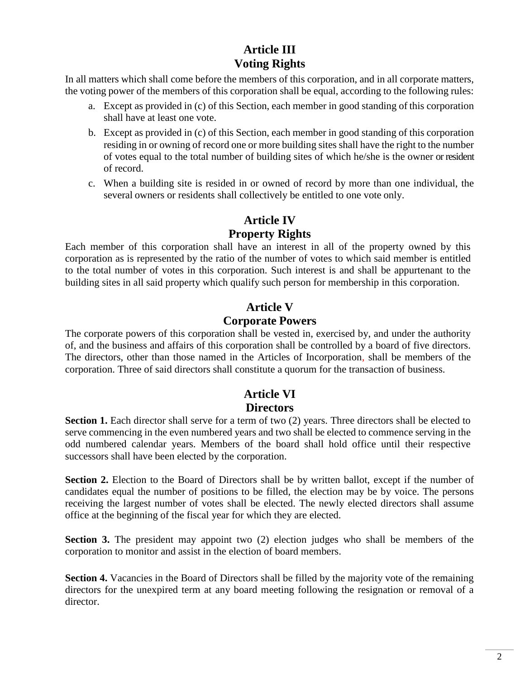## **Article III Voting Rights**

In all matters which shall come before the members of this corporation, and in all corporate matters, the voting power of the members of this corporation shall be equal, according to the following rules:

- a. Except as provided in (c) of this Section, each member in good standing of this corporation shall have at least one vote.
- b. Except as provided in (c) of this Section, each member in good standing of this corporation residing in or owning of record one or more building sites shall have the right to the number of votes equal to the total number of building sites of which he/she is the owner or resident of record.
- c. When a building site is resided in or owned of record by more than one individual, the several owners or residents shall collectively be entitled to one vote only.

## **Article IV Property Rights**

Each member of this corporation shall have an interest in all of the property owned by this corporation as is represented by the ratio of the number of votes to which said member is entitled to the total number of votes in this corporation. Such interest is and shall be appurtenant to the building sites in all said property which qualify such person for membership in this corporation.

### **Article V**

#### **Corporate Powers**

The corporate powers of this corporation shall be vested in, exercised by, and under the authority of, and the business and affairs of this corporation shall be controlled by a board of five directors. The directors, other than those named in the Articles of Incorporation, shall be members of the corporation. Three of said directors shall constitute a quorum for the transaction of business.

### **Article VI Directors**

**Section 1.** Each director shall serve for a term of two (2) years. Three directors shall be elected to serve commencing in the even numbered years and two shall be elected to commence serving in the odd numbered calendar years. Members of the board shall hold office until their respective successors shall have been elected by the corporation.

**Section 2.** Election to the Board of Directors shall be by written ballot, except if the number of candidates equal the number of positions to be filled, the election may be by voice. The persons receiving the largest number of votes shall be elected. The newly elected directors shall assume office at the beginning of the fiscal year for which they are elected.

**Section 3.** The president may appoint two (2) election judges who shall be members of the corporation to monitor and assist in the election of board members.

**Section 4.** Vacancies in the Board of Directors shall be filled by the majority vote of the remaining directors for the unexpired term at any board meeting following the resignation or removal of a director.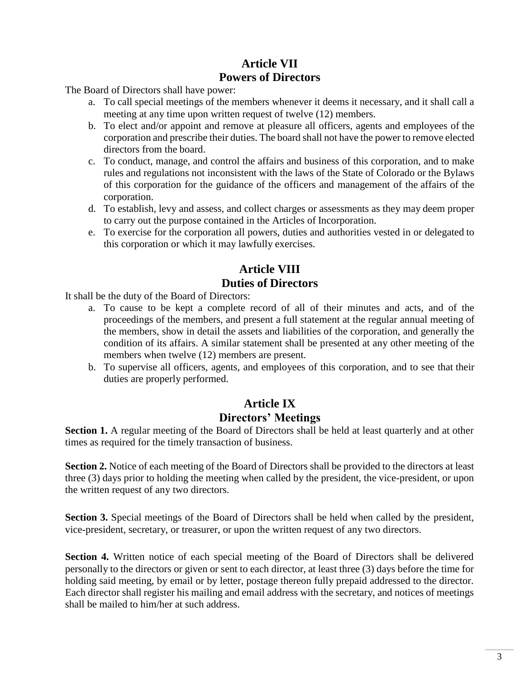## **Article VII Powers of Directors**

The Board of Directors shall have power:

- a. To call special meetings of the members whenever it deems it necessary, and it shall call a meeting at any time upon written request of twelve (12) members.
- b. To elect and/or appoint and remove at pleasure all officers, agents and employees of the corporation and prescribe their duties. The board shall not have the power to remove elected directors from the board.
- c. To conduct, manage, and control the affairs and business of this corporation, and to make rules and regulations not inconsistent with the laws of the State of Colorado or the Bylaws of this corporation for the guidance of the officers and management of the affairs of the corporation.
- d. To establish, levy and assess, and collect charges or assessments as they may deem proper to carry out the purpose contained in the Articles of Incorporation.
- e. To exercise for the corporation all powers, duties and authorities vested in or delegated to this corporation or which it may lawfully exercises.

## **Article VIII Duties of Directors**

It shall be the duty of the Board of Directors:

- a. To cause to be kept a complete record of all of their minutes and acts, and of the proceedings of the members, and present a full statement at the regular annual meeting of the members, show in detail the assets and liabilities of the corporation, and generally the condition of its affairs. A similar statement shall be presented at any other meeting of the members when twelve (12) members are present.
- b. To supervise all officers, agents, and employees of this corporation, and to see that their duties are properly performed.

## **Article IX Directors' Meetings**

**Section 1.** A regular meeting of the Board of Directors shall be held at least quarterly and at other times as required for the timely transaction of business.

**Section 2.** Notice of each meeting of the Board of Directors shall be provided to the directors at least three (3) days prior to holding the meeting when called by the president, the vice-president, or upon the written request of any two directors.

**Section 3.** Special meetings of the Board of Directors shall be held when called by the president, vice-president, secretary, or treasurer, or upon the written request of any two directors.

**Section 4.** Written notice of each special meeting of the Board of Directors shall be delivered personally to the directors or given or sent to each director, at least three (3) days before the time for holding said meeting, by email or by letter, postage thereon fully prepaid addressed to the director. Each director shall register his mailing and email address with the secretary, and notices of meetings shall be mailed to him/her at such address.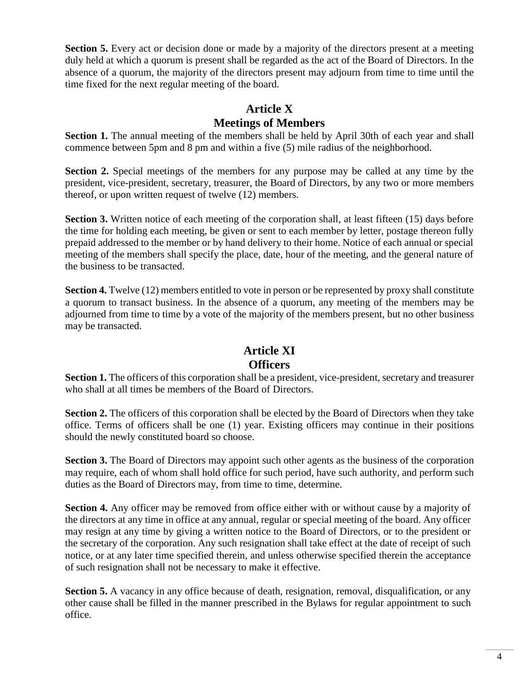**Section 5.** Every act or decision done or made by a majority of the directors present at a meeting duly held at which a quorum is present shall be regarded as the act of the Board of Directors. In the absence of a quorum, the majority of the directors present may adjourn from time to time until the time fixed for the next regular meeting of the board.

#### **Article X Meetings of Members**

**Section 1.** The annual meeting of the members shall be held by April 30th of each year and shall commence between 5pm and 8 pm and within a five (5) mile radius of the neighborhood.

**Section 2.** Special meetings of the members for any purpose may be called at any time by the president, vice-president, secretary, treasurer, the Board of Directors, by any two or more members thereof, or upon written request of twelve (12) members.

**Section 3.** Written notice of each meeting of the corporation shall, at least fifteen (15) days before the time for holding each meeting, be given or sent to each member by letter, postage thereon fully prepaid addressed to the member or by hand delivery to their home. Notice of each annual or special meeting of the members shall specify the place, date, hour of the meeting, and the general nature of the business to be transacted.

**Section 4.** Twelve (12) members entitled to vote in person or be represented by proxy shall constitute a quorum to transact business. In the absence of a quorum, any meeting of the members may be adjourned from time to time by a vote of the majority of the members present, but no other business may be transacted.

### **Article XI Officers**

**Section 1.** The officers of this corporation shall be a president, vice-president, secretary and treasurer who shall at all times be members of the Board of Directors.

**Section 2.** The officers of this corporation shall be elected by the Board of Directors when they take office. Terms of officers shall be one (1) year. Existing officers may continue in their positions should the newly constituted board so choose.

**Section 3.** The Board of Directors may appoint such other agents as the business of the corporation may require, each of whom shall hold office for such period, have such authority, and perform such duties as the Board of Directors may, from time to time, determine.

**Section 4.** Any officer may be removed from office either with or without cause by a majority of the directors at any time in office at any annual, regular or special meeting of the board. Any officer may resign at any time by giving a written notice to the Board of Directors, or to the president or the secretary of the corporation. Any such resignation shall take effect at the date of receipt of such notice, or at any later time specified therein, and unless otherwise specified therein the acceptance of such resignation shall not be necessary to make it effective.

**Section 5.** A vacancy in any office because of death, resignation, removal, disqualification, or any other cause shall be filled in the manner prescribed in the Bylaws for regular appointment to such office.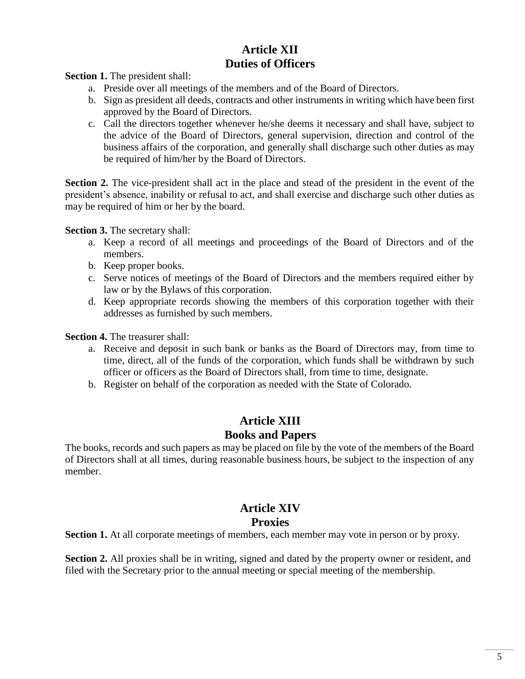### **Article XII Duties of Officers**

**Section 1.** The president shall:

- a. Preside over all meetings of the members and of the Board of Directors.
- b. Sign as president all deeds, contracts and other instruments in writing which have been first approved by the Board of Directors.
- c. Call the directors together whenever he/she deems it necessary and shall have, subject to the advice of the Board of Directors, general supervision, direction and control of the business affairs of the corporation, and generally shall discharge such other duties as may be required of him/her by the Board of Directors.

**Section 2.** The vice-president shall act in the place and stead of the president in the event of the president's absence, inability or refusal to act, and shall exercise and discharge such other duties as may be required of him or her by the board.

**Section 3.** The secretary shall:

- a. Keep a record of all meetings and proceedings of the Board of Directors and of the members.
- b. Keep proper books.
- c. Serve notices of meetings of the Board of Directors and the members required either by law or by the Bylaws of this corporation.
- d. Keep appropriate records showing the members of this corporation together with their addresses as furnished by such members.

**Section 4.** The treasurer shall:

- a. Receive and deposit in such bank or banks as the Board of Directors may, from time to time, direct, all of the funds of the corporation, which funds shall be withdrawn by such officer or officers as the Board of Directors shall, from time to time, designate.
- b. Register on behalf of the corporation as needed with the State of Colorado.

## **Article XIII Books and Papers**

The books, records and such papers as may be placed on file by the vote of the members of the Board of Directors shall at all times, during reasonable business hours, be subject to the inspection of any member.

### **Article XIV Proxies**

**Section 1.** At all corporate meetings of members, each member may vote in person or by proxy.

**Section 2.** All proxies shall be in writing, signed and dated by the property owner or resident, and filed with the Secretary prior to the annual meeting or special meeting of the membership.